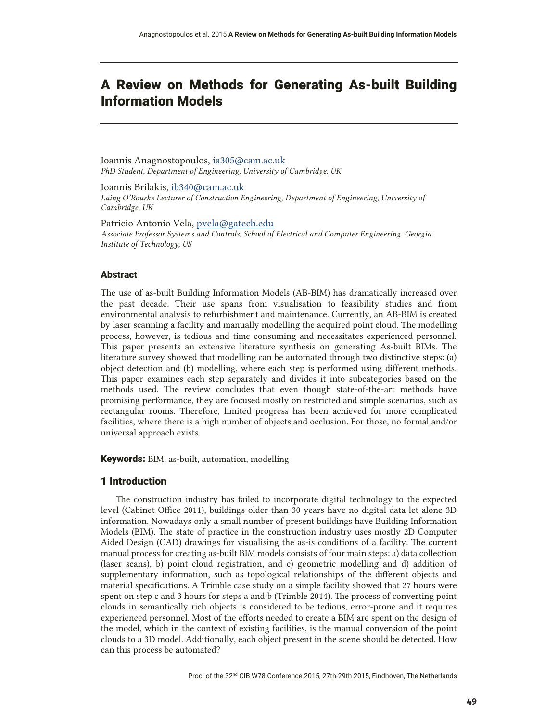# A Review on Methods for Generating As-built Building Information Models

Ioannis Anagnostopoulos, ia305@cam.ac.uk PhD Student, Department of Engineering, University of Cambridge, UK

Ioannis Brilakis, ib340@cam.ac.uk Laing O'Rourke Lecturer of Construction Engineering, Department of Engineering, University of Cambridge, UK

Patricio Antonio Vela, pvela@gatech.edu Associate Professor Systems and Controls, School of Electrical and Computer Engineering, Georgia Institute of Technology, US

# Abstract

The use of as-built Building Information Models (AB-BIM) has dramatically increased over the past decade. Their use spans from visualisation to feasibility studies and from environmental analysis to refurbishment and maintenance. Currently, an AB-BIM is created by laser scanning a facility and manually modelling the acquired point cloud. The modelling process, however, is tedious and time consuming and necessitates experienced personnel. This paper presents an extensive literature synthesis on generating As-built BIMs. The literature survey showed that modelling can be automated through two distinctive steps: (a) object detection and (b) modelling, where each step is performed using different methods. This paper examines each step separately and divides it into subcategories based on the methods used. The review concludes that even though state-of-the-art methods have promising performance, they are focused mostly on restricted and simple scenarios, such as rectangular rooms. Therefore, limited progress has been achieved for more complicated facilities, where there is a high number of objects and occlusion. For those, no formal and/or universal approach exists.

**Keywords:** BIM, as-built, automation, modelling

# 1 Introduction

The construction industry has failed to incorporate digital technology to the expected level (Cabinet Office 2011), buildings older than 30 years have no digital data let alone 3D information. Nowadays only a small number of present buildings have Building Information Models (BIM). The state of practice in the construction industry uses mostly 2D Computer Aided Design (CAD) drawings for visualising the as-is conditions of a facility. The current manual process for creating as-built BIM models consists of four main steps: a) data collection (laser scans), b) point cloud registration, and c) geometric modelling and d) addition of supplementary information, such as topological relationships of the different objects and material specifications. A Trimble case study on a simple facility showed that 27 hours were spent on step c and 3 hours for steps a and b (Trimble 2014). The process of converting point clouds in semantically rich objects is considered to be tedious, error-prone and it requires experienced personnel. Most of the efforts needed to create a BIM are spent on the design of the model, which in the context of existing facilities, is the manual conversion of the point clouds to a 3D model. Additionally, each object present in the scene should be detected. How can this process be automated?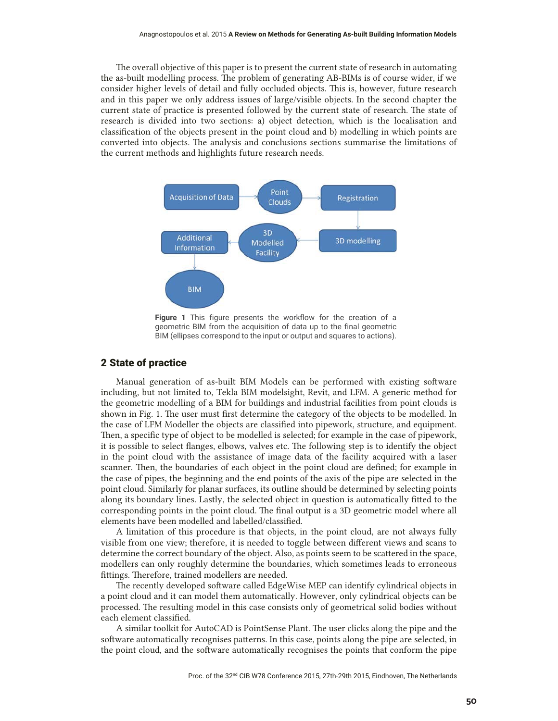The overall objective of this paper is to present the current state of research in automating the as-built modelling process. The problem of generating AB-BIMs is of course wider, if we consider higher levels of detail and fully occluded objects. This is, however, future research and in this paper we only address issues of large/visible objects. In the second chapter the current state of practice is presented followed by the current state of research. The state of research is divided into two sections: a) object detection, which is the localisation and classification of the objects present in the point cloud and b) modelling in which points are converted into objects. The analysis and conclusions sections summarise the limitations of the current methods and highlights future research needs.



**Figure 1** This figure presents the workflow for the creation of a geometric BIM from the acquisition of data up to the final geometric BIM (ellipses correspond to the input or output and squares to actions).

#### 2 State of practice

Manual generation of as-built BIM Models can be performed with existing software including, but not limited to, Tekla BIM modelsight, Revit, and LFM. A generic method for the geometric modelling of a BIM for buildings and industrial facilities from point clouds is shown in Fig. 1. The user must first determine the category of the objects to be modelled. In the case of LFM Modeller the objects are classified into pipework, structure, and equipment. Then, a specific type of object to be modelled is selected; for example in the case of pipework, it is possible to select flanges, elbows, valves etc. The following step is to identify the object in the point cloud with the assistance of image data of the facility acquired with a laser scanner. Then, the boundaries of each object in the point cloud are defined; for example in the case of pipes, the beginning and the end points of the axis of the pipe are selected in the point cloud. Similarly for planar surfaces, its outline should be determined by selecting points along its boundary lines. Lastly, the selected object in question is automatically fitted to the corresponding points in the point cloud. The final output is a 3D geometric model where all elements have been modelled and labelled/classified.

A limitation of this procedure is that objects, in the point cloud, are not always fully visible from one view; therefore, it is needed to toggle between different views and scans to determine the correct boundary of the object. Also, as points seem to be scattered in the space, modellers can only roughly determine the boundaries, which sometimes leads to erroneous fittings. Therefore, trained modellers are needed.

The recently developed software called EdgeWise MEP can identify cylindrical objects in a point cloud and it can model them automatically. However, only cylindrical objects can be processed. The resulting model in this case consists only of geometrical solid bodies without each element classified.

A similar toolkit for AutoCAD is PointSense Plant. The user clicks along the pipe and the software automatically recognises patterns. In this case, points along the pipe are selected, in the point cloud, and the software automatically recognises the points that conform the pipe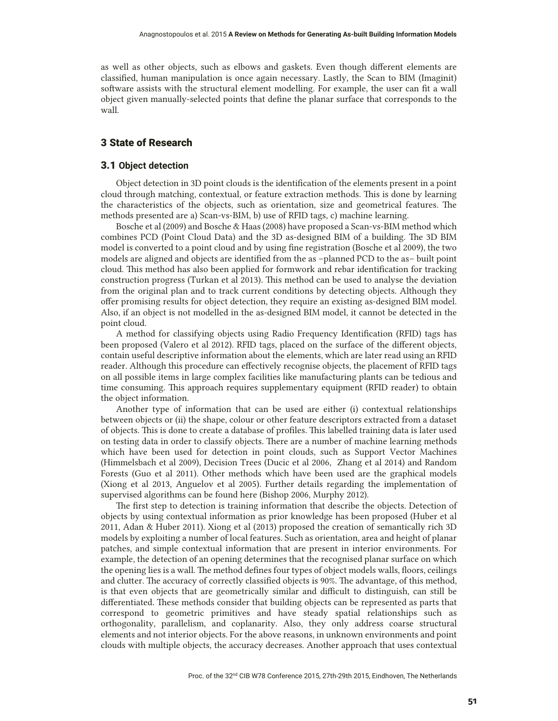as well as other objects, such as elbows and gaskets. Even though different elements are classified, human manipulation is once again necessary. Lastly, the Scan to BIM (Imaginit) software assists with the structural element modelling. For example, the user can fit a wall object given manually-selected points that define the planar surface that corresponds to the wall.

# 3 State of Research

#### 3.1 **Object detection**

Object detection in 3D point clouds is the identification of the elements present in a point cloud through matching, contextual, or feature extraction methods. This is done by learning the characteristics of the objects, such as orientation, size and geometrical features. The methods presented are a) Scan-vs-BIM, b) use of RFID tags, c) machine learning.

Bosche et al (2009) and Bosche & Haas (2008) have proposed a Scan-vs-BIM method which combines PCD (Point Cloud Data) and the 3D as-designed BIM of a building. The 3D BIM model is converted to a point cloud and by using fine registration (Bosche et al 2009), the two models are aligned and objects are identified from the as –planned PCD to the as– built point cloud. This method has also been applied for formwork and rebar identification for tracking construction progress (Turkan et al 2013). This method can be used to analyse the deviation from the original plan and to track current conditions by detecting objects. Although they offer promising results for object detection, they require an existing as-designed BIM model. Also, if an object is not modelled in the as-designed BIM model, it cannot be detected in the point cloud.

A method for classifying objects using Radio Frequency Identification (RFID) tags has been proposed (Valero et al 2012). RFID tags, placed on the surface of the different objects, contain useful descriptive information about the elements, which are later read using an RFID reader. Although this procedure can effectively recognise objects, the placement of RFID tags on all possible items in large complex facilities like manufacturing plants can be tedious and time consuming. This approach requires supplementary equipment (RFID reader) to obtain the object information.

Another type of information that can be used are either (i) contextual relationships between objects or (ii) the shape, colour or other feature descriptors extracted from a dataset of objects. This is done to create a database of profiles. This labelled training data is later used on testing data in order to classify objects. There are a number of machine learning methods which have been used for detection in point clouds, such as Support Vector Machines (Himmelsbach et al 2009), Decision Trees (Ducic et al 2006, Zhang et al 2014) and Random Forests (Guo et al 2011). Other methods which have been used are the graphical models (Xiong et al 2013, Anguelov et al 2005). Further details regarding the implementation of supervised algorithms can be found here (Bishop 2006, Murphy 2012).

The first step to detection is training information that describe the objects. Detection of objects by using contextual information as prior knowledge has been proposed (Huber et al 2011, Adan & Huber 2011). Xiong et al (2013) proposed the creation of semantically rich 3D models by exploiting a number of local features. Such as orientation, area and height of planar patches, and simple contextual information that are present in interior environments. For example, the detection of an opening determines that the recognised planar surface on which the opening lies is a wall. The method defines four types of object models walls, floors, ceilings and clutter. The accuracy of correctly classified objects is 90%. The advantage, of this method, is that even objects that are geometrically similar and difficult to distinguish, can still be differentiated. These methods consider that building objects can be represented as parts that correspond to geometric primitives and have steady spatial relationships such as orthogonality, parallelism, and coplanarity. Also, they only address coarse structural elements and not interior objects. For the above reasons, in unknown environments and point clouds with multiple objects, the accuracy decreases. Another approach that uses contextual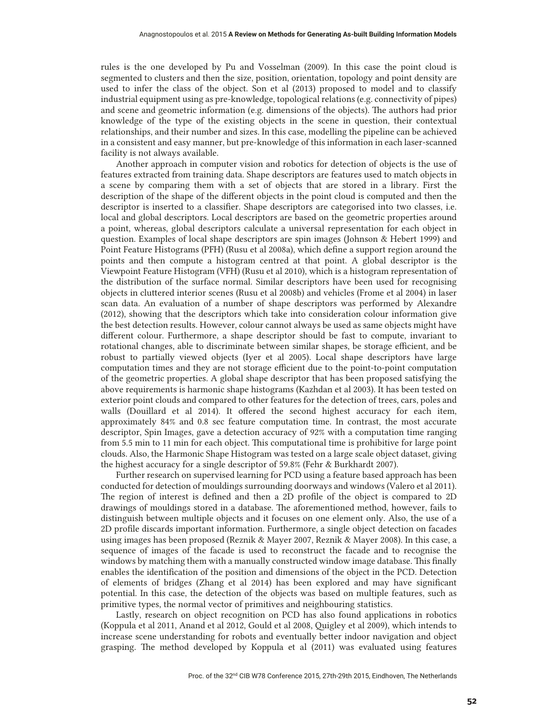rules is the one developed by Pu and Vosselman (2009). In this case the point cloud is segmented to clusters and then the size, position, orientation, topology and point density are used to infer the class of the object. Son et al (2013) proposed to model and to classify industrial equipment using as pre-knowledge, topological relations (e.g. connectivity of pipes) and scene and geometric information (e.g. dimensions of the objects). The authors had prior knowledge of the type of the existing objects in the scene in question, their contextual relationships, and their number and sizes. In this case, modelling the pipeline can be achieved in a consistent and easy manner, but pre-knowledge of this information in each laser-scanned facility is not always available.

Another approach in computer vision and robotics for detection of objects is the use of features extracted from training data. Shape descriptors are features used to match objects in a scene by comparing them with a set of objects that are stored in a library. First the description of the shape of the different objects in the point cloud is computed and then the descriptor is inserted to a classifier. Shape descriptors are categorised into two classes, i.e. local and global descriptors. Local descriptors are based on the geometric properties around a point, whereas, global descriptors calculate a universal representation for each object in question. Examples of local shape descriptors are spin images (Johnson & Hebert 1999) and Point Feature Histograms (PFH) (Rusu et al 2008a), which define a support region around the points and then compute a histogram centred at that point. A global descriptor is the Viewpoint Feature Histogram (VFH) (Rusu et al 2010), which is a histogram representation of the distribution of the surface normal. Similar descriptors have been used for recognising objects in cluttered interior scenes (Rusu et al 2008b) and vehicles (Frome et al 2004) in laser scan data. An evaluation of a number of shape descriptors was performed by Alexandre (2012), showing that the descriptors which take into consideration colour information give the best detection results. However, colour cannot always be used as same objects might have different colour. Furthermore, a shape descriptor should be fast to compute, invariant to rotational changes, able to discriminate between similar shapes, be storage efficient, and be robust to partially viewed objects (Iyer et al 2005). Local shape descriptors have large computation times and they are not storage efficient due to the point-to-point computation of the geometric properties. A global shape descriptor that has been proposed satisfying the above requirements is harmonic shape histograms (Kazhdan et al 2003). It has been tested on exterior point clouds and compared to other features for the detection of trees, cars, poles and walls (Douillard et al 2014). It offered the second highest accuracy for each item, approximately 84% and 0.8 sec feature computation time. In contrast, the most accurate descriptor, Spin Images, gave a detection accuracy of 92% with a computation time ranging from 5.5 min to 11 min for each object. This computational time is prohibitive for large point clouds. Also, the Harmonic Shape Histogram was tested on a large scale object dataset, giving the highest accuracy for a single descriptor of 59.8% (Fehr & Burkhardt 2007).

Further research on supervised learning for PCD using a feature based approach has been conducted for detection of mouldings surrounding doorways and windows (Valero et al 2011). The region of interest is defined and then a 2D profile of the object is compared to 2D drawings of mouldings stored in a database. The aforementioned method, however, fails to distinguish between multiple objects and it focuses on one element only. Also, the use of a 2D profile discards important information. Furthermore, a single object detection on facades using images has been proposed (Reznik & Mayer 2007, Reznik & Mayer 2008). In this case, a sequence of images of the facade is used to reconstruct the facade and to recognise the windows by matching them with a manually constructed window image database. This finally enables the identification of the position and dimensions of the object in the PCD. Detection of elements of bridges (Zhang et al 2014) has been explored and may have significant potential. In this case, the detection of the objects was based on multiple features, such as primitive types, the normal vector of primitives and neighbouring statistics.

Lastly, research on object recognition on PCD has also found applications in robotics (Koppula et al 2011, Anand et al 2012, Gould et al 2008, Quigley et al 2009), which intends to increase scene understanding for robots and eventually better indoor navigation and object grasping. The method developed by Koppula et al (2011) was evaluated using features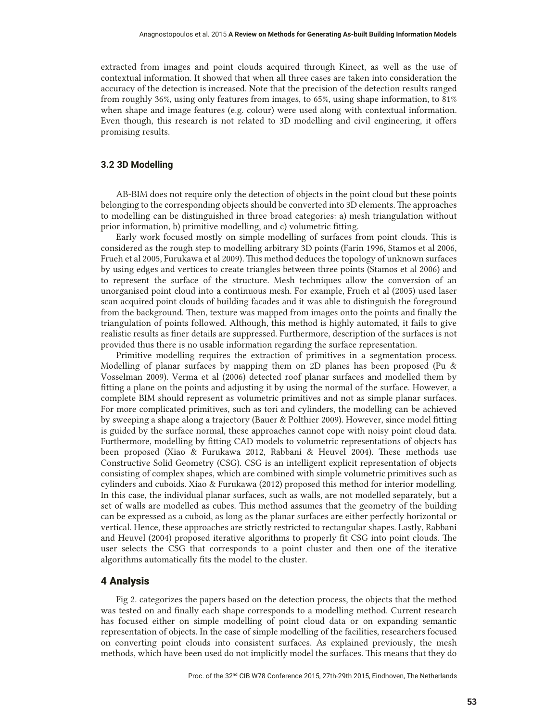extracted from images and point clouds acquired through Kinect, as well as the use of contextual information. It showed that when all three cases are taken into consideration the accuracy of the detection is increased. Note that the precision of the detection results ranged from roughly 36%, using only features from images, to 65%, using shape information, to 81% when shape and image features (e.g. colour) were used along with contextual information. Even though, this research is not related to 3D modelling and civil engineering, it offers promising results.

### **3.2 3D Modelling**

AB-BIM does not require only the detection of objects in the point cloud but these points belonging to the corresponding objects should be converted into 3D elements. The approaches to modelling can be distinguished in three broad categories: a) mesh triangulation without prior information, b) primitive modelling, and c) volumetric fitting.

Early work focused mostly on simple modelling of surfaces from point clouds. This is considered as the rough step to modelling arbitrary 3D points (Farin 1996, Stamos et al 2006, Frueh et al 2005, Furukawa et al 2009). This method deduces the topology of unknown surfaces by using edges and vertices to create triangles between three points (Stamos et al 2006) and to represent the surface of the structure. Mesh techniques allow the conversion of an unorganised point cloud into a continuous mesh. For example, Frueh et al (2005) used laser scan acquired point clouds of building facades and it was able to distinguish the foreground from the background. Then, texture was mapped from images onto the points and finally the triangulation of points followed. Although, this method is highly automated, it fails to give realistic results as finer details are suppressed. Furthermore, description of the surfaces is not provided thus there is no usable information regarding the surface representation.

Primitive modelling requires the extraction of primitives in a segmentation process. Modelling of planar surfaces by mapping them on 2D planes has been proposed (Pu & Vosselman 2009). Verma et al (2006) detected roof planar surfaces and modelled them by fitting a plane on the points and adjusting it by using the normal of the surface. However, a complete BIM should represent as volumetric primitives and not as simple planar surfaces. For more complicated primitives, such as tori and cylinders, the modelling can be achieved by sweeping a shape along a trajectory (Bauer & Polthier 2009). However, since model fitting is guided by the surface normal, these approaches cannot cope with noisy point cloud data. Furthermore, modelling by fitting CAD models to volumetric representations of objects has been proposed (Xiao & Furukawa 2012, Rabbani & Heuvel 2004). These methods use Constructive Solid Geometry (CSG). CSG is an intelligent explicit representation of objects consisting of complex shapes, which are combined with simple volumetric primitives such as cylinders and cuboids. Xiao & Furukawa (2012) proposed this method for interior modelling. In this case, the individual planar surfaces, such as walls, are not modelled separately, but a set of walls are modelled as cubes. This method assumes that the geometry of the building can be expressed as a cuboid, as long as the planar surfaces are either perfectly horizontal or vertical. Hence, these approaches are strictly restricted to rectangular shapes. Lastly, Rabbani and Heuvel (2004) proposed iterative algorithms to properly fit CSG into point clouds. The user selects the CSG that corresponds to a point cluster and then one of the iterative algorithms automatically fits the model to the cluster.

# 4 Analysis

Fig 2. categorizes the papers based on the detection process, the objects that the method was tested on and finally each shape corresponds to a modelling method. Current research has focused either on simple modelling of point cloud data or on expanding semantic representation of objects. In the case of simple modelling of the facilities, researchers focused on converting point clouds into consistent surfaces. As explained previously, the mesh methods, which have been used do not implicitly model the surfaces. This means that they do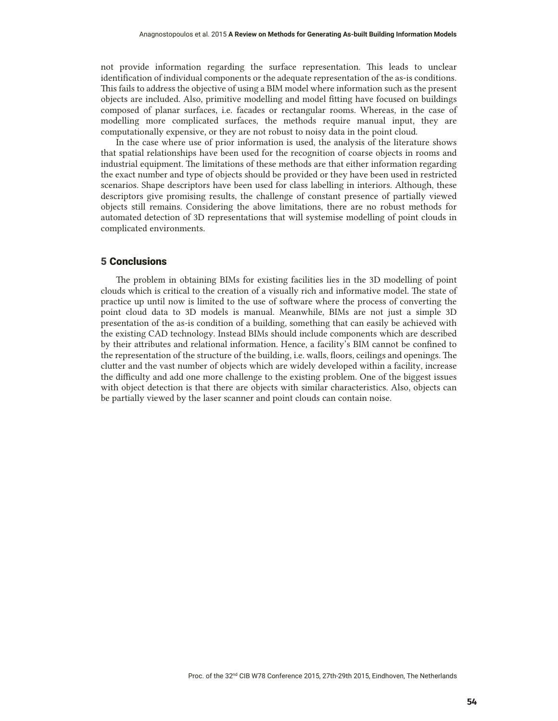not provide information regarding the surface representation. This leads to unclear identification of individual components or the adequate representation of the as-is conditions. This fails to address the objective of using a BIM model where information such as the present objects are included. Also, primitive modelling and model fitting have focused on buildings composed of planar surfaces, i.e. facades or rectangular rooms. Whereas, in the case of modelling more complicated surfaces, the methods require manual input, they are computationally expensive, or they are not robust to noisy data in the point cloud.

In the case where use of prior information is used, the analysis of the literature shows that spatial relationships have been used for the recognition of coarse objects in rooms and industrial equipment. The limitations of these methods are that either information regarding the exact number and type of objects should be provided or they have been used in restricted scenarios. Shape descriptors have been used for class labelling in interiors. Although, these descriptors give promising results, the challenge of constant presence of partially viewed objects still remains. Considering the above limitations, there are no robust methods for automated detection of 3D representations that will systemise modelling of point clouds in complicated environments.

### 5 Conclusions

The problem in obtaining BIMs for existing facilities lies in the 3D modelling of point clouds which is critical to the creation of a visually rich and informative model. The state of practice up until now is limited to the use of software where the process of converting the point cloud data to 3D models is manual. Meanwhile, BIMs are not just a simple 3D presentation of the as-is condition of a building, something that can easily be achieved with the existing CAD technology. Instead BIMs should include components which are described by their attributes and relational information. Hence, a facility's BIM cannot be confined to the representation of the structure of the building, i.e. walls, floors, ceilings and openings. The clutter and the vast number of objects which are widely developed within a facility, increase the difficulty and add one more challenge to the existing problem. One of the biggest issues with object detection is that there are objects with similar characteristics. Also, objects can be partially viewed by the laser scanner and point clouds can contain noise.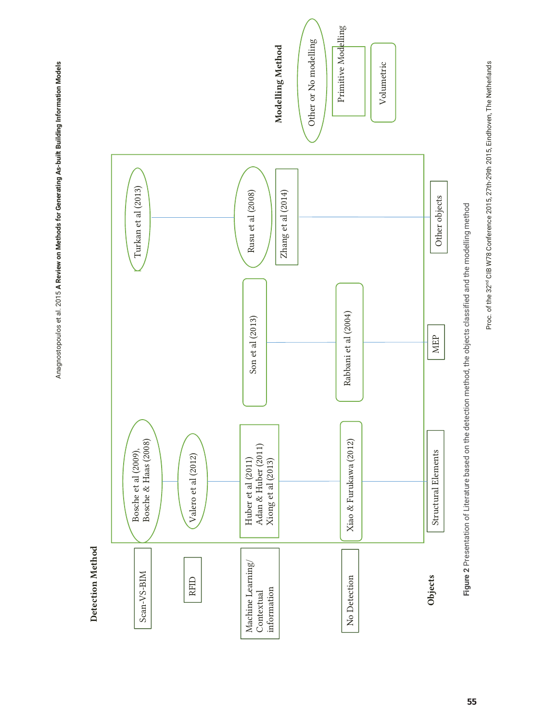Anagnostopoulos et al. 2015 A Review on Methods for Generating As-built Building Information Models Anagnostopoulos et al. 2015 **A Review on Methods for Generating As-built Building Information Models**

> Detection Method **Detection Method**



Figure 2 Presentation of Literature based on the detection method, the objects classified and the modelling method **Figure 2** Presentation of Literature based on the detection method, the objects classified and the modelling method Proc. of the 32nd CIB W78 Conference 2015, 27th-29th 2015, Eindhoven, The Netherlands

Proc. of the 32<sup>nd</sup> CIB W78 Conference 2015, 27th-29th 2015, Eindhoven, The Netherlands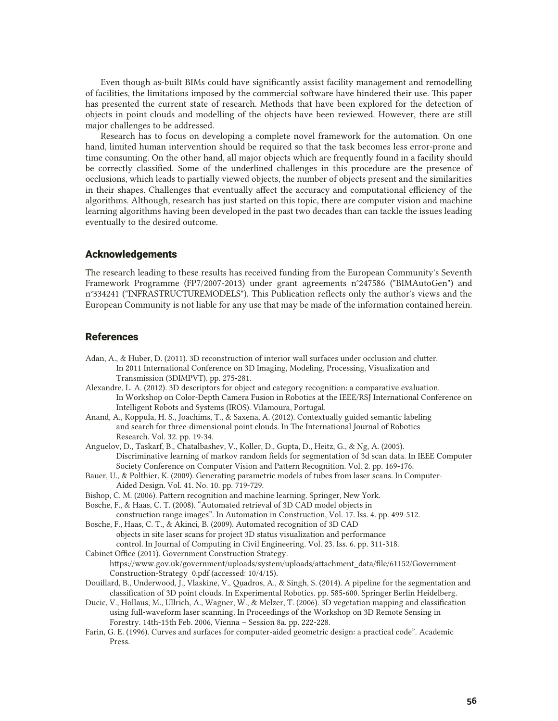Even though as-built BIMs could have significantly assist facility management and remodelling of facilities, the limitations imposed by the commercial software have hindered their use. This paper has presented the current state of research. Methods that have been explored for the detection of objects in point clouds and modelling of the objects have been reviewed. However, there are still major challenges to be addressed.

Research has to focus on developing a complete novel framework for the automation. On one hand, limited human intervention should be required so that the task becomes less error-prone and time consuming. On the other hand, all major objects which are frequently found in a facility should be correctly classified. Some of the underlined challenges in this procedure are the presence of occlusions, which leads to partially viewed objects, the number of objects present and the similarities in their shapes. Challenges that eventually affect the accuracy and computational efficiency of the algorithms. Although, research has just started on this topic, there are computer vision and machine learning algorithms having been developed in the past two decades than can tackle the issues leading eventually to the desired outcome.

# Acknowledgements

The research leading to these results has received funding from the European Community's Seventh Framework Programme (FP7/2007-2013) under grant agreements n°247586 ("BIMAutoGen") and n°334241 ("INFRASTRUCTUREMODELS"). This Publication reflects only the author's views and the European Community is not liable for any use that may be made of the information contained herein.

# References

- Adan, A., & Huber, D. (2011). 3D reconstruction of interior wall surfaces under occlusion and clutter. In 2011 International Conference on 3D Imaging, Modeling, Processing, Visualization and Transmission (3DIMPVT). pp. 275-281.
- Alexandre, L. A. (2012). 3D descriptors for object and category recognition: a comparative evaluation. In Workshop on Color-Depth Camera Fusion in Robotics at the IEEE/RSJ International Conference on Intelligent Robots and Systems (IROS). Vilamoura, Portugal.
- Anand, A., Koppula, H. S., Joachims, T., & Saxena, A. (2012). Contextually guided semantic labeling and search for three-dimensional point clouds. In The International Journal of Robotics Research. Vol. 32. pp. 19-34.
- Anguelov, D., Taskarf, B., Chatalbashev, V., Koller, D., Gupta, D., Heitz, G., & Ng, A. (2005). Discriminative learning of markov random fields for segmentation of 3d scan data. In IEEE Computer Society Conference on Computer Vision and Pattern Recognition. Vol. 2. pp. 169-176.
- Bauer, U., & Polthier, K. (2009). Generating parametric models of tubes from laser scans. In Computer- Aided Design. Vol. 41. No. 10. pp. 719-729.
- Bishop, C. M. (2006). Pattern recognition and machine learning. Springer, New York.
- Bosche, F., & Haas, C. T. (2008). "Automated retrieval of 3D CAD model objects in
- construction range images". In Automation in Construction, Vol. 17. Iss. 4. pp. 499-512. Bosche, F., Haas, C. T., & Akinci, B. (2009). Automated recognition of 3D CAD
- objects in site laser scans for project 3D status visualization and performance control. In Journal of Computing in Civil Engineering. Vol. 23. Iss. 6. pp. 311-318.
- Cabinet Office (2011). Government Construction Strategy. https://www.gov.uk/government/uploads/system/uploads/attachment\_data/file/61152/Government-Construction-Strategy\_0.pdf (accessed: 10/4/15).
- Douillard, B., Underwood, J., Vlaskine, V., Quadros, A., & Singh, S. (2014). A pipeline for the segmentation and classification of 3D point clouds. In Experimental Robotics. pp. 585-600. Springer Berlin Heidelberg.
- Ducic, V., Hollaus, M., Ullrich, A., Wagner, W., & Melzer, T. (2006). 3D vegetation mapping and classification using full-waveform laser scanning. In Proceedings of the Workshop on 3D Remote Sensing in Forestry. 14th-15th Feb. 2006, Vienna – Session 8a. pp. 222-228.
- Farin, G. E. (1996). Curves and surfaces for computer-aided geometric design: a practical code". Academic Press.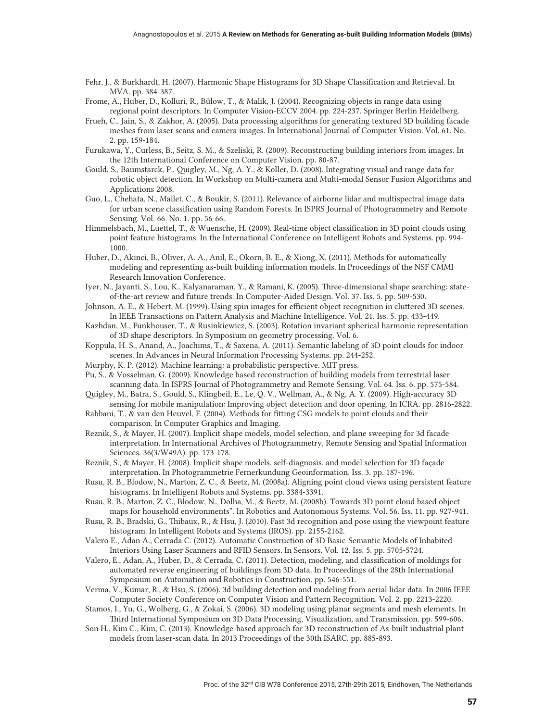- Fehr, J., & Burkhardt, H. (2007). Harmonic Shape Histograms for 3D Shape Classification and Retrieval. In MVA. pp. 384-387.
- Frome, A., Huber, D., Kolluri, R., Bülow, T., & Malik, J. (2004). Recognizing objects in range data using regional point descriptors. In Computer Vision-ECCV 2004. pp. 224-237. Springer Berlin Heidelberg.
- Frueh, C., Jain, S., & Zakhor, A. (2005). Data processing algorithms for generating textured 3D building facade meshes from laser scans and camera images. In International Journal of Computer Vision. Vol. 61. No. 2. pp. 159-184.
- Furukawa, Y., Curless, B., Seitz, S. M., & Szeliski, R. (2009). Reconstructing building interiors from images. In the 12th International Conference on Computer Vision. pp. 80-87.
- Gould, S., Baumstarck, P., Quigley, M., Ng, A. Y., & Koller, D. (2008). Integrating visual and range data for robotic object detection. In Workshop on Multi-camera and Multi-modal Sensor Fusion Algorithms and Applications 2008.
- Guo, L., Chehata, N., Mallet, C., & Boukir, S. (2011). Relevance of airborne lidar and multispectral image data for urban scene classification using Random Forests. In ISPRS Journal of Photogrammetry and Remote Sensing. Vol. 66. No. 1. pp. 56-66.
- Himmelsbach, M., Luettel, T., & Wuensche, H. (2009). Real-time object classification in 3D point clouds using point feature histograms. In the International Conference on Intelligent Robots and Systems. pp. 994- 1000.
- Huber, D., Akinci, B., Oliver, A. A., Anil, E., Okorn, B. E., & Xiong, X. (2011). Methods for automatically modeling and representing as-built building information models. In Proceedings of the NSF CMMI Research Innovation Conference.
- Iyer, N., Jayanti, S., Lou, K., Kalyanaraman, Y., & Ramani, K. (2005). Three-dimensional shape searching: stateof-the-art review and future trends. In Computer-Aided Design. Vol. 37. Iss. 5. pp. 509-530.
- Johnson, A. E., & Hebert, M. (1999). Using spin images for efficient object recognition in cluttered 3D scenes. In IEEE Transactions on Pattern Analysis and Machine Intelligence. Vol. 21. Iss. 5. pp. 433-449.
- Kazhdan, M., Funkhouser, T., & Rusinkiewicz, S. (2003). Rotation invariant spherical harmonic representation of 3D shape descriptors. In Symposium on geometry processing. Vol. 6.
- Koppula, H. S., Anand, A., Joachims, T., & Saxena, A. (2011). Semantic labeling of 3D point clouds for indoor scenes. In Advances in Neural Information Processing Systems. pp. 244-252.
- Murphy, K. P. (2012). Machine learning: a probabilistic perspective. MIT press.
- Pu, S., & Vosselman, G. (2009). Knowledge based reconstruction of building models from terrestrial laser scanning data. In ISPRS Journal of Photogrammetry and Remote Sensing. Vol. 64. Iss. 6. pp. 575-584.
- Quigley, M., Batra, S., Gould, S., Klingbeil, E., Le, Q. V., Wellman, A., & Ng, A. Y. (2009). High-accuracy 3D sensing for mobile manipulation: Improving object detection and door opening. In ICRA. pp. 2816-2822.
- Rabbani, T., & van den Heuvel, F. (2004). Methods for fitting CSG models to point clouds and their comparison. In Computer Graphics and Imaging.
- Reznik, S., & Mayer, H. (2007). Implicit shape models, model selection, and plane sweeping for 3d facade interpretation. In International Archives of Photogrammetry, Remote Sensing and Spatial Information Sciences. 36(3/W49A). pp. 173-178.
- Reznik, S., & Mayer, H. (2008). Implicit shape models, self-diagnosis, and model selection for 3D façade interpretation. In Photogrammetrie Fernerkundung Geoinformation. Iss. 3. pp. 187-196.
- Rusu, R. B., Blodow, N., Marton, Z. C., & Beetz, M. (2008a). Aligning point cloud views using persistent feature histograms. In Intelligent Robots and Systems. pp. 3384-3391.
- Rusu, R. B., Marton, Z. C., Blodow, N., Dolha, M., & Beetz, M. (2008b). Towards 3D point cloud based object maps for household environments". In Robotics and Autonomous Systems. Vol. 56. Iss. 11. pp. 927-941.
- Rusu, R. B., Bradski, G., Thibaux, R., & Hsu, J. (2010). Fast 3d recognition and pose using the viewpoint feature histogram. In Intelligent Robots and Systems (IROS). pp. 2155-2162.
- Valero E., Adan A., Cerrada C. (2012). Automatic Construction of 3D Basic-Semantic Models of Inhabited Interiors Using Laser Scanners and RFID Sensors. In Sensors. Vol. 12. Iss. 5. pp. 5705-5724.
- Valero, E., Adan, A., Huber, D., & Cerrada, C. (2011). Detection, modeling, and classification of moldings for automated reverse engineering of buildings from 3D data. In Proceedings of the 28th International Symposium on Automation and Robotics in Construction. pp. 546-551.
- Verma, V., Kumar, R., & Hsu, S. (2006). 3d building detection and modeling from aerial lidar data. In 2006 IEEE Computer Society Conference on Computer Vision and Pattern Recognition. Vol. 2. pp. 2213-2220.
- Stamos, I., Yu, G., Wolberg, G., & Zokai, S. (2006). 3D modeling using planar segments and mesh elements. In Third International Symposium on 3D Data Processing, Visualization, and Transmission. pp. 599-606.
- Son H., Kim C., Kim, C. (2013). Knowledge-based approach for 3D reconstruction of As-built industrial plant models from laser-scan data. In 2013 Proceedings of the 30th ISARC. pp. 885-893.